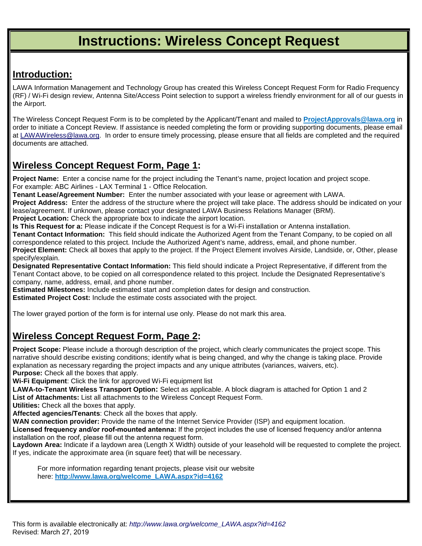## **Instructions: Wireless Concept Request**

## **Introduction:**

LAWA Information Management and Technology Group has created this Wireless Concept Request Form for Radio Frequency (RF) / Wi-Fi design review, Antenna Site/Access Point selection to support a wireless friendly environment for all of our guests in the Airport.

The Wireless Concept Request Form is to be completed by the Applicant/Tenant and mailed to **[ProjectApprovals@lawa.org](mailto:ProjectApprovals@lawa.org)** in order to initiate a Concept Review. If assistance is needed completing the form or providing supporting documents, please email at [LAWAWireless@lawa.org.](mailto:LAWAWireless@lawa.org) In order to ensure timely processing, please ensure that all fields are completed and the required documents are attached.

## **Wireless Concept Request Form, Page 1:**

**Project Name:** Enter a concise name for the project including the Tenant's name, project location and project scope. For example: ABC Airlines - LAX Terminal 1 - Office Relocation.

**Tenant Lease/Agreement Number:** Enter the number associated with your lease or agreement with LAWA.

**Project Address:** Enter the address of the structure where the project will take place. The address should be indicated on your lease/agreement. If unknown, please contact your designated LAWA Business Relations Manager (BRM). **Project Location:** Check the appropriate box to indicate the airport location.

**Is This Request for a:** Please indicate if the Concept Request is for a Wi-Fi installation or Antenna installation. **Tenant Contact Information:** This field should indicate the Authorized Agent from the Tenant Company, to be copied on all correspondence related to this project. Include the Authorized Agent's name, address, email, and phone number.

**Project Element:** Check all boxes that apply to the project. If the Project Element involves Airside, Landside, or, Other, please specify/explain.

**Designated Representative Contact Information:** This field should indicate a Project Representative, if different from the Tenant Contact above, to be copied on all correspondence related to this project. Include the Designated Representative's company, name, address, email, and phone number.

**Estimated Milestones:** Include estimated start and completion dates for design and construction.

**Estimated Project Cost:** Include the estimate costs associated with the project.

The lower grayed portion of the form is for internal use only. Please do not mark this area.

## **Wireless Concept Request Form, Page 2:**

**Project Scope:** Please include a thorough description of the project, which clearly communicates the project scope. This narrative should describe existing conditions; identify what is being changed, and why the change is taking place. Provide explanation as necessary regarding the project impacts and any unique attributes (variances, waivers, etc). **Purpose:** Check all the boxes that apply.

**Wi-Fi Equipment**: Click the link for approved Wi-Fi equipment list

**LAWA-to-Tenant Wireless Transport Option:** Select as applicable. A block diagram is attached for Option 1 and 2 **List of Attachments:** List all attachments to the Wireless Concept Request Form.

**Utilities:** Check all the boxes that apply.

**Affected agencies/Tenants**: Check all the boxes that apply.

**WAN connection provider:** Provide the name of the Internet Service Provider (ISP) and equipment location.

**Licensed frequency and/or roof-mounted antenna:** If the project includes the use of licensed frequency and/or antenna installation on the roof, please fill out the antenna request form.

**Laydown Area:** Indicate if a laydown area (Length X Width) outside of your leasehold will be requested to complete the project. If yes, indicate the approximate area (in square feet) that will be necessary.

For [more information regarding tenant projects, please visit ou](http://www.lawa.org/welcome_LAWA.aspx?id=4162)r website here: **http://www.lawa.org/welcome\_LAWA.aspx?id=4162**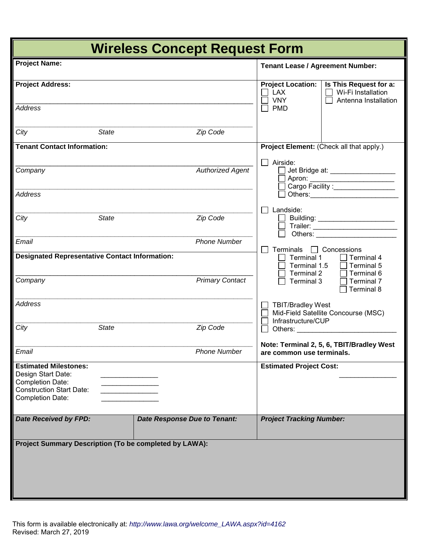| <b>Wireless Concept Request Form</b>                                                                                                        |              |                                     |                                                                                           |                                                                                                                                                                                                                                            |                                                                      |  |
|---------------------------------------------------------------------------------------------------------------------------------------------|--------------|-------------------------------------|-------------------------------------------------------------------------------------------|--------------------------------------------------------------------------------------------------------------------------------------------------------------------------------------------------------------------------------------------|----------------------------------------------------------------------|--|
| <b>Project Name:</b>                                                                                                                        |              |                                     |                                                                                           | <b>Tenant Lease / Agreement Number:</b>                                                                                                                                                                                                    |                                                                      |  |
| <b>Project Address:</b>                                                                                                                     |              |                                     |                                                                                           | <b>Project Location:</b><br><b>LAX</b><br><b>VNY</b>                                                                                                                                                                                       | Is This Request for a:<br>Wi-Fi Installation<br>Antenna Installation |  |
| <b>Address</b>                                                                                                                              |              |                                     |                                                                                           | <b>PMD</b>                                                                                                                                                                                                                                 |                                                                      |  |
| City                                                                                                                                        | <b>State</b> |                                     | Zip Code                                                                                  |                                                                                                                                                                                                                                            |                                                                      |  |
| <b>Tenant Contact Information:</b>                                                                                                          |              |                                     | Project Element: (Check all that apply.)                                                  |                                                                                                                                                                                                                                            |                                                                      |  |
| Company                                                                                                                                     |              |                                     | <b>Authorized Agent</b>                                                                   | Airside:<br>Apron: __________________________<br>  Cargo Facility :_________________                                                                                                                                                       |                                                                      |  |
| <b>Address</b>                                                                                                                              |              |                                     |                                                                                           |                                                                                                                                                                                                                                            |                                                                      |  |
| City                                                                                                                                        | <b>State</b> |                                     | Zip Code                                                                                  | Landside:<br>Others: The Company of the Company of the Company of the Company of the Company of the Company of the Company of the Company of the Company of the Company of the Company of the Company of the Company of the Company of the |                                                                      |  |
| Email                                                                                                                                       |              |                                     | <b>Phone Number</b>                                                                       | Terminals                                                                                                                                                                                                                                  | $\Box$ Concessions                                                   |  |
| <b>Designated Representative Contact Information:</b>                                                                                       |              |                                     | Terminal 1<br><b>Terminal 4</b><br>Terminal 1.5<br>Terminal 5<br>Terminal 2<br>Terminal 6 |                                                                                                                                                                                                                                            |                                                                      |  |
| Company                                                                                                                                     |              |                                     | <b>Primary Contact</b>                                                                    | Terminal 3<br>Terminal 7<br>Terminal 8                                                                                                                                                                                                     |                                                                      |  |
| <b>Address</b>                                                                                                                              |              |                                     |                                                                                           | <b>TBIT/Bradley West</b><br>Infrastructure/CUP                                                                                                                                                                                             | Mid-Field Satellite Concourse (MSC)                                  |  |
| City                                                                                                                                        | <b>State</b> |                                     | Zip Code                                                                                  |                                                                                                                                                                                                                                            |                                                                      |  |
| Email                                                                                                                                       |              |                                     | <b>Phone Number</b>                                                                       | are common use terminals.                                                                                                                                                                                                                  | Note: Terminal 2, 5, 6, TBIT/Bradley West                            |  |
| <b>Estimated Milestones:</b><br>Design Start Date:<br><b>Completion Date:</b><br><b>Construction Start Date:</b><br><b>Completion Date:</b> |              |                                     |                                                                                           | <b>Estimated Project Cost:</b>                                                                                                                                                                                                             |                                                                      |  |
| <b>Date Received by FPD:</b>                                                                                                                |              | <b>Date Response Due to Tenant:</b> |                                                                                           | <b>Project Tracking Number:</b>                                                                                                                                                                                                            |                                                                      |  |
| Project Summary Description (To be completed by LAWA):                                                                                      |              |                                     |                                                                                           |                                                                                                                                                                                                                                            |                                                                      |  |